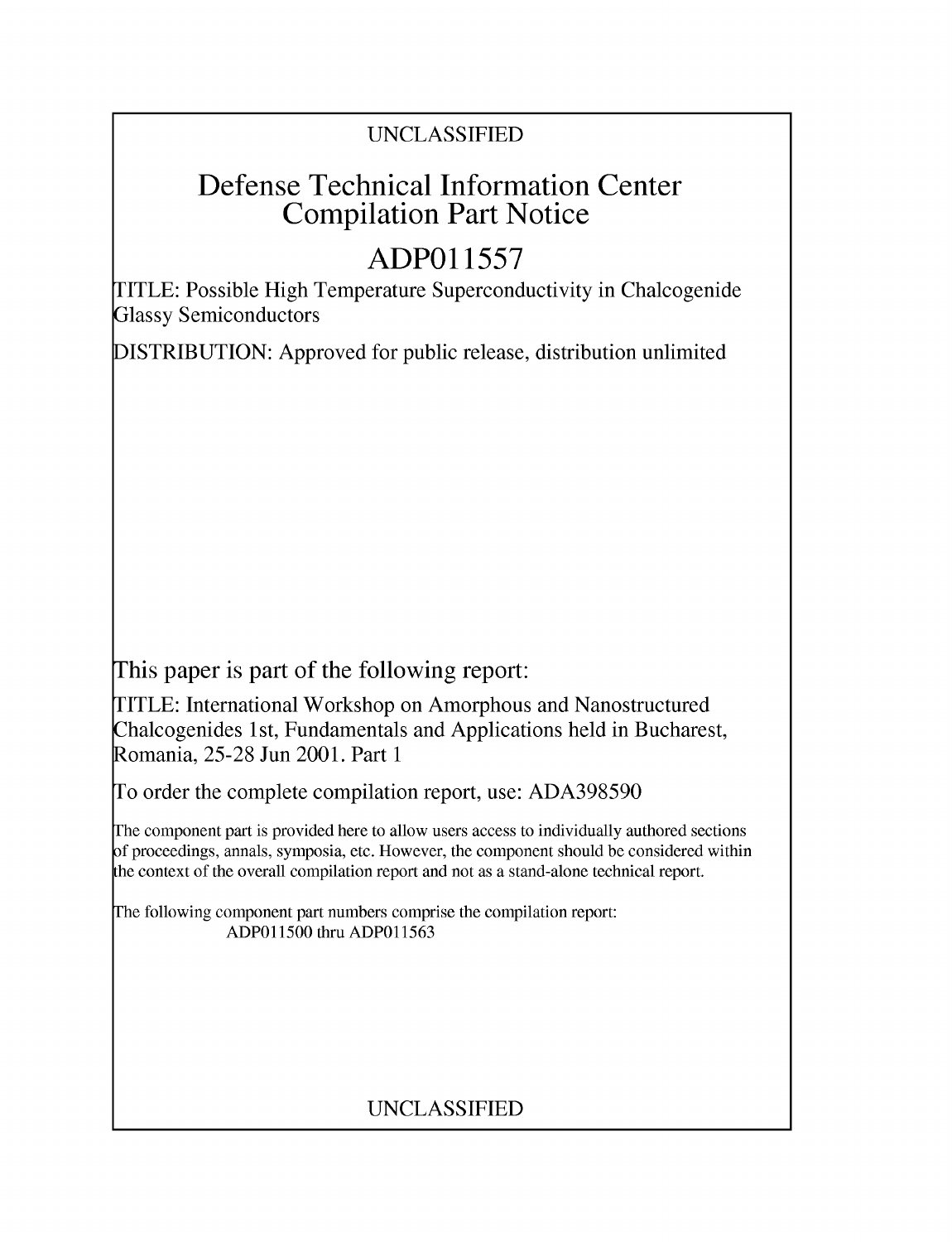## UNCLASSIFIED

## Defense Technical Information Center Compilation Part Notice

# **ADPO1 1557**

TITLE: Possible High Temperature Superconductivity in Chalcogenide Glassy Semiconductors

DISTRIBUTION: Approved for public release, distribution unlimited

This paper is part of the following report:

TITLE: International Workshop on Amorphous and Nanostructured Chalcogenides 1 st, Fundamentals and Applications held in Bucharest, Romania, 25-28 Jun 2001. Part 1

To order the complete compilation report, use: ADA398590

The component part is provided here to allow users access to individually authored sections f proceedings, annals, symposia, etc. However, the component should be considered within [he context of the overall compilation report and not as a stand-alone technical report.

The following component part numbers comprise the compilation report: ADPO11500 thru ADP011563

## UNCLASSIFIED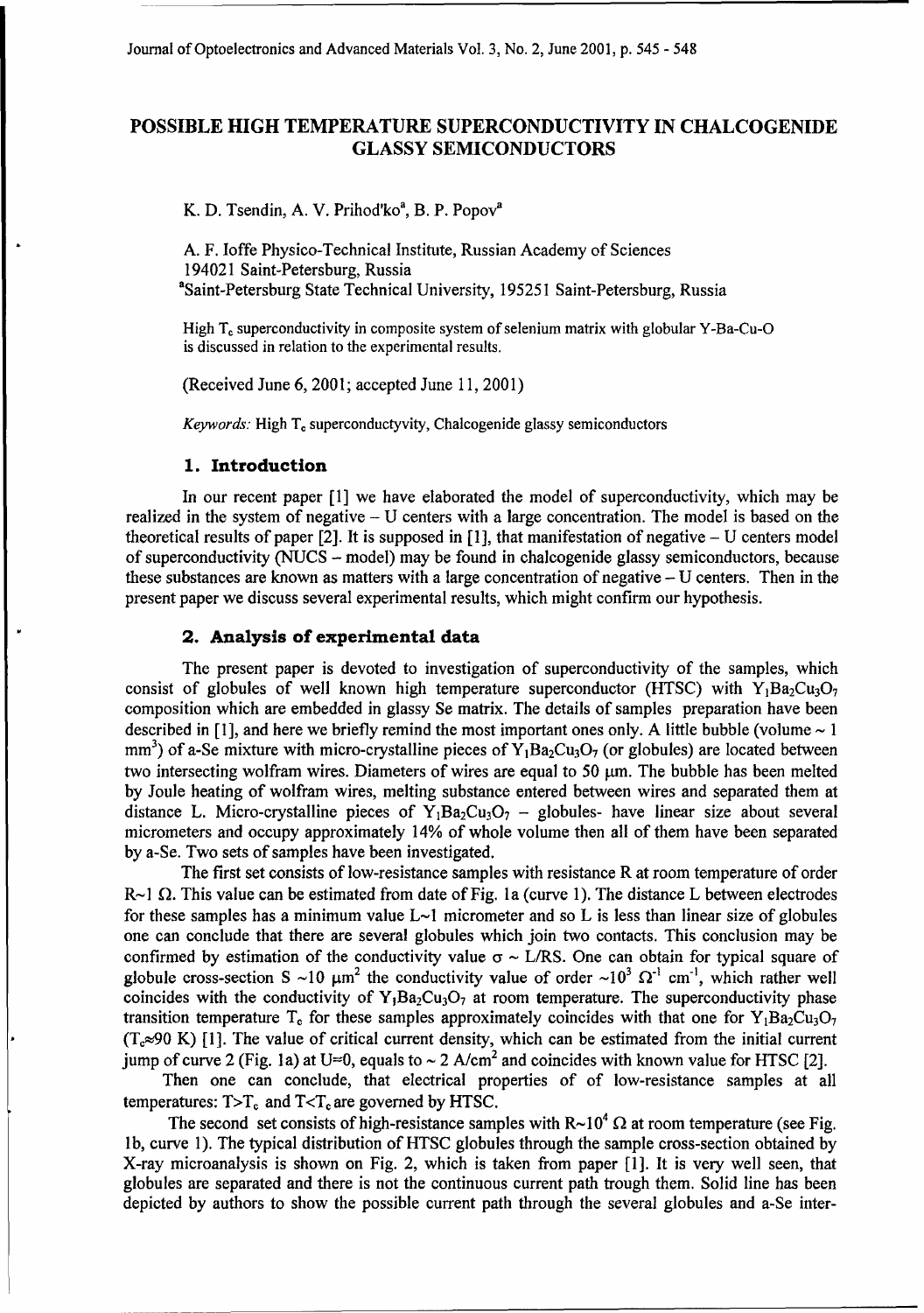### **POSSIBLE HIGH** TEMPERATURE **SUPERCONDUCTIVITY IN CHALCOGENIDE GLASSY SEMICONDUCTORS**

K. **D.** Tsendin, **A.** V. Prihod'ko', B. P. Popova

**A.** F. loffe Physico-Technical Institute, Russian Academy of Sciences 194021 Saint-Petersburg, Russia "Saint-Petersburg State Technical University, 195251 Saint-Petersburg, Russia

High T<sub>c</sub> superconductivity in composite system of selenium matrix with globular Y-Ba-Cu-O is discussed in relation to the experimental results.

(Received June 6, 2001; accepted June 11, 2001)

*Keywords:* High T, superconductyvity, Chalcogenide glassy semiconductors

#### **1.** Introduction

In our recent paper [1] we have elaborated the model of superconductivity, which may be realized in the system of negative - U centers with a large concentration. The model is based on the theoretical results of paper  $[2]$ . It is supposed in  $[1]$ , that manifestation of negative  $-$  U centers model of superconductivity (NUCS - model) may be found in chalcogenide glassy semiconductors, because these substances are known as matters with a large concentration of negative  $-$  U centers. Then in the present paper we discuss several experimental results, which might confirm our hypothesis.

#### 2. Analysis of experimental data

The present paper is devoted to investigation of superconductivity of the samples, which consist of globules of well known high temperature superconductor (HTSC) with  $Y_1Ba_2Cu_3O_7$ composition which are embedded in glassy Se matrix. The details of samples preparation have been described in [1], and here we briefly remind the most important ones only. A little bubble (volume **-** 1 mm<sup>3</sup>) of a-Se mixture with micro-crystalline pieces of  $Y_1Ba_2Cu_3O_7$  (or globules) are located between two intersecting wolfram wires. Diameters of wires are equal to 50  $\mu$ m. The bubble has been melted by Joule heating of wolfram wires, melting substance entered between wires and separated them at distance L. Micro-crystalline pieces of  $Y_1Ba_2Cu_3O_7$  – globules- have linear size about several micrometers and occupy approximately 14% of whole volume then all of them have been separated by a-Se. Two sets of samples have been investigated.

The first set consists of low-resistance samples with resistance R at room temperature of order  $R$ ~1  $\Omega$ . This value can be estimated from date of Fig. 1a (curve 1). The distance L between electrodes for these samples has a minimum value  $L<sub>1</sub>$  micrometer and so L is less than linear size of globules one can conclude that there are several globules which join two contacts. This conclusion may be confirmed by estimation of the conductivity value  $\sigma \sim L/RS$ . One can obtain for typical square of globule cross-section **S** ~10  $\mu$ m<sup>2</sup> the conductivity value of order ~10<sup>3</sup>  $\Omega^{-1}$  cm<sup>-1</sup>, which rather well coincides with the conductivity of  $Y_1Ba_2Cu_3O_7$  at room temperature. The superconductivity phase transition temperature T<sub>c</sub> for these samples approximately coincides with that one for Y<sub>1</sub>Ba<sub>2</sub>Cu<sub>3</sub>O<sub>7</sub>  $(T_c \approx 90 \text{ K})$  [1]. The value of critical current density, which can be estimated from the initial current jump of curve 2 (Fig. 1a) at U=0, equals to  $\sim$  2 A/cm<sup>2</sup> and coincides with known value for HTSC [2].

Then one can conclude, that electrical properties of of low-resistance samples at all temperatures:  $T>T_c$  and  $T < T_c$  are governed by HTSC.

The second set consists of high-resistance samples with  $R \sim 10^4 \Omega$  at room temperature (see Fig. **1** b, curve 1). The typical distribution of HTSC globules through the sample cross-section obtained by X-ray microanalysis is shown on Fig. 2, which is taken from paper [1]. It is very well seen, that globules are separated and there is not the continuous current path trough them. Solid line has been depicted by authors to show the possible current path through the several globules and a-Se inter-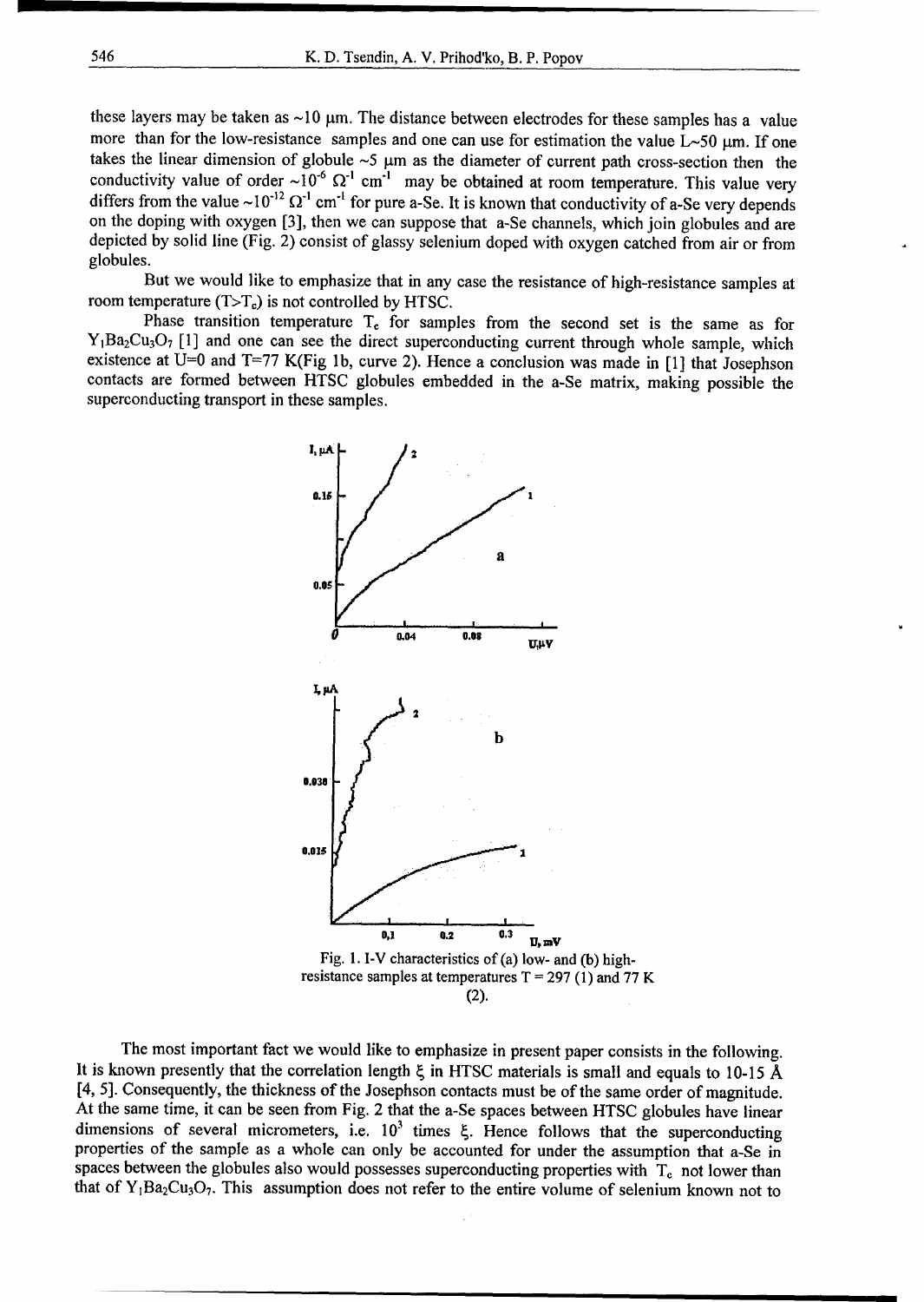these layers may be taken as  $\sim$ 10  $\mu$ m. The distance between electrodes for these samples has a value more than for the low-resistance samples and one can use for estimation the value  $L \sim 50 \mu m$ . If one takes the linear dimension of globule  $\sim$ 5  $\mu$ m as the diameter of current path cross-section then the conductivity value of order  $\sim 10^{-6} \Omega^{-1}$  cm<sup>-1</sup> may be obtained at room temperature. This value very differs from the value  $\sim 10^{-12} \Omega^{-1}$  cm<sup>-1</sup> for pure a-Se. It is known that conductivity of a-Se very depends on the doping with oxygen [3], then we can suppose that a-Se channels, which join globules and are depicted by solid line (Fig. 2) consist of glassy selenium doped with oxygen catched from air or from globules.

But we would like to emphasize that in any case the resistance of high-resistance samples at room temperature  $(T>T_c)$  is not controlled by HTSC.

Phase transition temperature  $T_c$  for samples from the second set is the same as for  $Y_1Ba_2Cu_3O_7$  [1] and one can see the direct superconducting current through whole sample, which existence at U=0 and T=77 K(Fig **lb,** curve 2). Hence a conclusion was made in [1] that Josephson contacts are formed between HTSC globules embedded in the a-Se matrix, making possible the superconducting transport in these samples.



The most important fact we would like to emphasize in present paper consists in the following. It is known presently that the correlation length 4 in **HTSC** materials is small and equals to **10-15 A** [4, **5].** Consequently, the thickness of the Josephson contacts must be of the same order of magnitude. At the same time, it can be seen from Fig. 2 that the a-Se spaces between **HTSC** globules have linear At the same thire, it can be seen from Fig. 2 that the a-se spaces between HTSC globules have linear<br>dimensions of soveral micromotors, i.e.  $10^3$  times follows follows that the superconduction quite  $\alpha$  is the sample as a whole can only be accounted for under the assumption that a-Se in properties of the sample as a whole can only be accounted for under the assumption that a-Se in properties of the sample as a whole can only be accounted for under the assumption that a-se in<br>spaces between the globules also would possesses superconducting proporties with T, not lower than spaces between the globules also would possesses superconducting properties with  $T_c$  not lower than that of Y<sub>1</sub>Ba<sub>2</sub>Cu<sub>3</sub>O<sub>7</sub>. This assumption does not refer to the entire volume of selenium known not to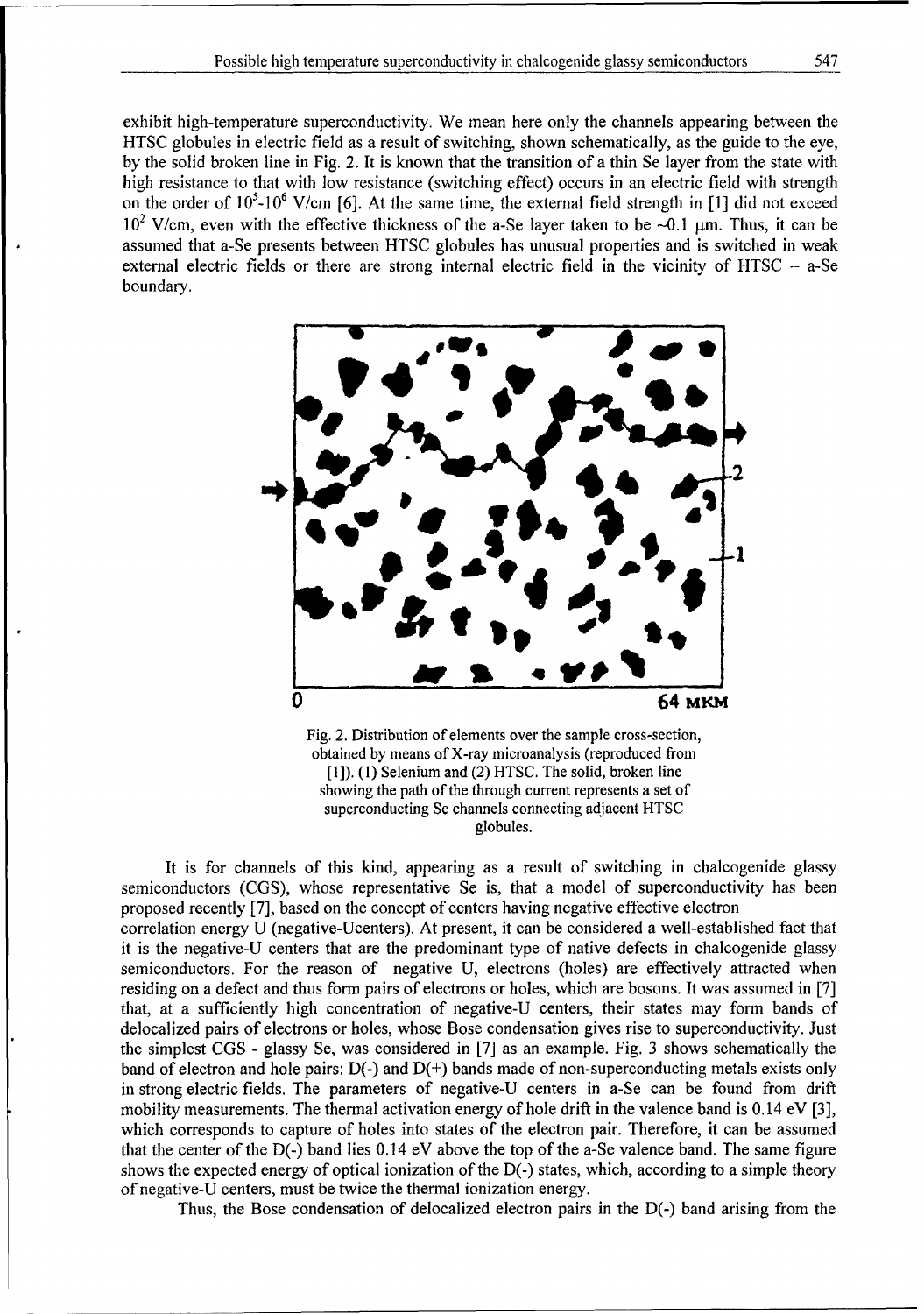exhibit high-temperature superconductivity. We mean here only the channels appearing between the HTSC globules in electric field as a result of switching, shown schematically, as the guide to the eye, by the solid broken line in Fig. 2. It is known that the transition of a thin Se layer from the state with high resistance to that with low resistance (switching effect) occurs in an electric field with strength on the order of **105-106** V/cm [6]. At the same time, the external field strength in [1] did not exceed  $10^2$  V/cm, even with the effective thickness of the a-Se layer taken to be  $\sim 0.1$  µm. Thus, it can be assumed that a-Se presents between HTSC globules has unusual properties and is switched in weak external electric fields or there are strong internal electric field in the vicinity of HTSC - a-Se boundary.



Fig. 2. Distribution of elements over the sample cross-section, obtained by means of X-ray microanalysis (reproduced from **[1]). (1)** Selenium and (2) HTSC. The solid, broken line showing the path of the through current represents a set of superconducting Se channels connecting adjacent HTSC globules.

It is for channels of this kind, appearing as a result of switching in chalcogenide glassy semiconductors (CGS), whose representative Se is, that a model of superconductivity has been proposed recently [7], based on the concept of centers having negative effective electron correlation energy U (negative-Ucenters). At present, it can be considered a well-established fact that it is the negative-U centers that are the predominant type of native defects in chalcogenide glassy semiconductors. For the reason of negative U, electrons (holes) are effectively attracted when residing on a defect and thus form pairs of electrons or holes, which are bosons. It was assumed in [7] that, at a sufficiently high concentration of negative-U centers, their states may form bands of delocalized pairs of electrons or holes, whose Bose condensation gives rise to superconductivity. Just the simplest CGS - glassy Se, was considered in [7] as an example. Fig. 3 shows schematically the band of electron and hole pairs: D(-) and D(+) bands made of non-superconducting metals exists only in strong electric fields. The parameters of negative-U centers in a-Se can be found from drift mobility measurements. The thermal activation energy of hole drift in the valence band is 0.14 eV [3], which corresponds to capture of holes into states of the electron pair. Therefore, it can be assumed that the center of the D(-) band lies 0.14 eV above the top of the a-Se valence band. The same figure shows the expected energy of optical ionization of the D(-) states, which, according to a simple theory of negative-U centers, must be twice the thermal ionization energy.

Thus, the Bose condensation of delocalized electron pairs in the D(-) band arising from the